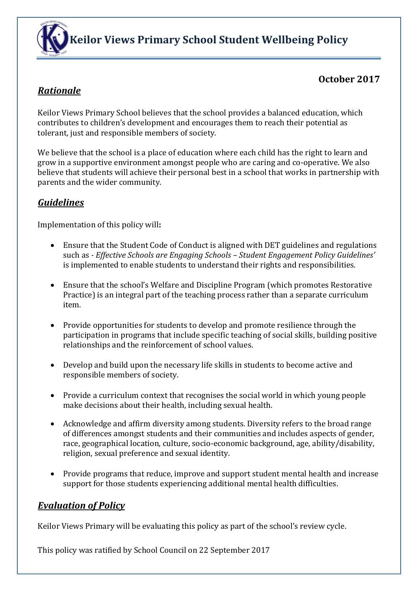

## **October 2017**

## *Rationale*

Keilor Views Primary School believes that the school provides a balanced education, which contributes to children's development and encourages them to reach their potential as tolerant, just and responsible members of society.

We believe that the school is a place of education where each child has the right to learn and grow in a supportive environment amongst people who are caring and co-operative. We also believe that students will achieve their personal best in a school that works in partnership with parents and the wider community.

## *Guidelines*

Implementation of this policy will**:**

- Ensure that the Student Code of Conduct is aligned with DET guidelines and regulations such as *- Effective Schools are Engaging Schools – Student Engagement Policy Guidelines'*  is implemented to enable students to understand their rights and responsibilities.
- Ensure that the school's Welfare and Discipline Program (which promotes Restorative Practice) is an integral part of the teaching process rather than a separate curriculum item.
- Provide opportunities for students to develop and promote resilience through the participation in programs that include specific teaching of social skills, building positive relationships and the reinforcement of school values.
- Develop and build upon the necessary life skills in students to become active and responsible members of society.
- Provide a curriculum context that recognises the social world in which young people make decisions about their health, including sexual health.
- Acknowledge and affirm diversity among students. Diversity refers to the broad range of differences amongst students and their communities and includes aspects of gender, race, geographical location, culture, socio-economic background, age, ability/disability, religion, sexual preference and sexual identity.
- Provide programs that reduce, improve and support student mental health and increase support for those students experiencing additional mental health difficulties.

## *Evaluation of Policy*

Keilor Views Primary will be evaluating this policy as part of the school's review cycle.

This policy was ratified by School Council on 22 September 2017